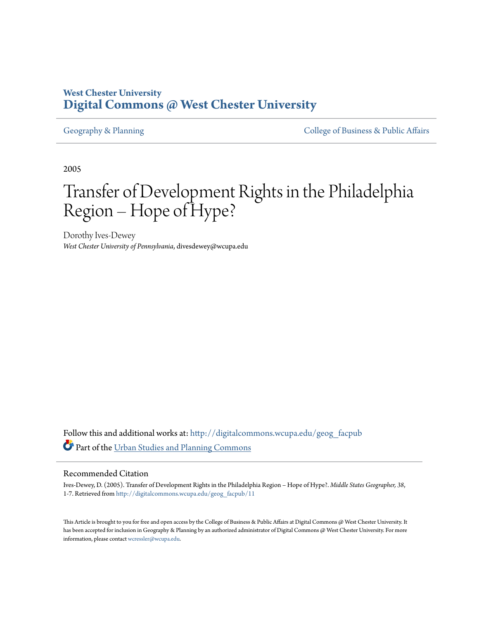# **West Chester University [Digital Commons @ West Chester University](http://digitalcommons.wcupa.edu?utm_source=digitalcommons.wcupa.edu%2Fgeog_facpub%2F11&utm_medium=PDF&utm_campaign=PDFCoverPages)**

[Geography & Planning](http://digitalcommons.wcupa.edu/geog_facpub?utm_source=digitalcommons.wcupa.edu%2Fgeog_facpub%2F11&utm_medium=PDF&utm_campaign=PDFCoverPages) The [College of Business & Public Affairs](http://digitalcommons.wcupa.edu/cbpa?utm_source=digitalcommons.wcupa.edu%2Fgeog_facpub%2F11&utm_medium=PDF&utm_campaign=PDFCoverPages)

2005

# Transfer of Development Rights in the Philadelphia Region – Hope of Hype?

Dorothy Ives-Dewey *West Chester University of Pennsylvania*, divesdewey@wcupa.edu

Follow this and additional works at: [http://digitalcommons.wcupa.edu/geog\\_facpub](http://digitalcommons.wcupa.edu/geog_facpub?utm_source=digitalcommons.wcupa.edu%2Fgeog_facpub%2F11&utm_medium=PDF&utm_campaign=PDFCoverPages) Part of the [Urban Studies and Planning Commons](http://network.bepress.com/hgg/discipline/436?utm_source=digitalcommons.wcupa.edu%2Fgeog_facpub%2F11&utm_medium=PDF&utm_campaign=PDFCoverPages)

#### Recommended Citation

Ives-Dewey, D. (2005). Transfer of Development Rights in the Philadelphia Region – Hope of Hype?. *Middle States Geographer, 38*, 1-7. Retrieved from [http://digitalcommons.wcupa.edu/geog\\_facpub/11](http://digitalcommons.wcupa.edu/geog_facpub/11?utm_source=digitalcommons.wcupa.edu%2Fgeog_facpub%2F11&utm_medium=PDF&utm_campaign=PDFCoverPages)

This Article is brought to you for free and open access by the College of Business & Public Affairs at Digital Commons @ West Chester University. It has been accepted for inclusion in Geography & Planning by an authorized administrator of Digital Commons @ West Chester University. For more information, please contact [wcressler@wcupa.edu.](mailto:wcressler@wcupa.edu)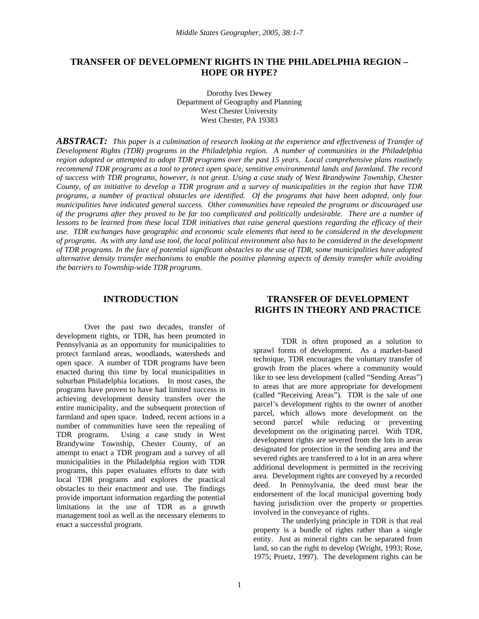# **TRANSFER OF DEVELOPMENT RIGHTS IN THE PHILADELPHIA REGION – HOPE OR HYPE?**

Dorothy Ives Dewey Department of Geography and Planning West Chester University West Chester, PA 19383

*ABSTRACT: This paper is a culmination of research looking at the experience and effectiveness of Transfer of Development Rights (TDR) programs in the Philadelphia region. A number of communities in the Philadelphia region adopted or attempted to adopt TDR programs over the past 15 years. Local comprehensive plans routinely recommend TDR programs as a tool to protect open space, sensitive environmental lands and farmland. The record of success with TDR programs, however, is not great. Using a case study of West Brandywine Township, Chester County, of an initiative to develop a TDR program and a survey of municipalities in the region that have TDR programs, a number of practical obstacles are identified. Of the programs that have been adopted, only four municipalities have indicated general success. Other communities have repealed the programs or discouraged use of the programs after they proved to be far too complicated and politically undesirable. There are a number of lessons to be learned from these local TDR initiatives that raise general questions regarding the efficacy of their*  use. TDR exchanges have geographic and economic scale elements that need to be considered in the development *of programs. As with any land use tool, the local political environment also has to be considered in the development of TDR programs. In the face of potential significant obstacles to the use of TDR, some municipalities have adopted alternative density transfer mechanisms to enable the positive planning aspects of density transfer while avoiding the barriers to Township-wide TDR programs.*

#### **INTRODUCTION**

Over the past two decades, transfer of development rights, or TDR, has been promoted in Pennsylvania as an opportunity for municipalities to protect farmland areas, woodlands, watersheds and open space. A number of TDR programs have been enacted during this time by local municipalities in suburban Philadelphia locations. In most cases, the programs have proven to have had limited success in achieving development density transfers over the entire municipality, and the subsequent protection of farmland and open space. Indeed, recent actions in a number of communities have seen the repealing of TDR programs. Using a case study in West Brandywine Township, Chester County, of an attempt to enact a TDR program and a survey of all municipalities in the Philadelphia region with TDR programs, this paper evaluates efforts to date with local TDR programs and explores the practical obstacles to their enactment and use. The findings provide important information regarding the potential limitations in the use of TDR as a growth management tool as well as the necessary elements to enact a successful program.

# **TRANSFER OF DEVELOPMENT RIGHTS IN THEORY AND PRACTICE**

TDR is often proposed as a solution to sprawl forms of development. As a market-based technique, TDR encourages the voluntary transfer of growth from the places where a community would like to see less development (called "Sending Areas") to areas that are more appropriate for development (called "Receiving Areas"). TDR is the sale of one parcel's development rights to the owner of another parcel, which allows more development on the second parcel while reducing or preventing development on the originating parcel. With TDR, development rights are severed from the lots in areas designated for protection in the sending area and the severed rights are transferred to a lot in an area where additional development is permitted in the receiving area. Development rights are conveyed by a recorded deed. In Pennsylvania, the deed must bear the endorsement of the local municipal governing body having jurisdiction over the property or properties involved in the conveyance of rights.

The underlying principle in TDR is that real property is a bundle of rights rather than a single entity. Just as mineral rights can be separated from land, so can the right to develop (Wright, 1993; Rose, 1975; Pruetz, 1997). The development rights can be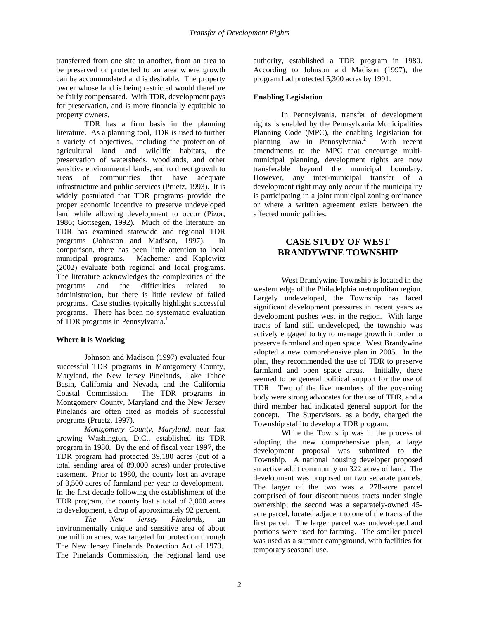transferred from one site to another, from an area to be preserved or protected to an area where growth can be accommodated and is desirable. The property owner whose land is being restricted would therefore be fairly compensated. With TDR, development pays for preservation, and is more financially equitable to property owners.

TDR has a firm basis in the planning literature. As a planning tool, TDR is used to further a variety of objectives, including the protection of agricultural land and wildlife habitats, the preservation of watersheds, woodlands, and other sensitive environmental lands, and to direct growth to areas of communities that have adequate infrastructure and public services (Pruetz, 1993). It is widely postulated that TDR programs provide the proper economic incentive to preserve undeveloped land while allowing development to occur (Pizor, 1986; Gottsegen, 1992). Much of the literature on TDR has examined statewide and regional TDR programs (Johnston and Madison, 1997). In comparison, there has been little attention to local municipal programs. Machemer and Kaplowitz (2002) evaluate both regional and local programs. The literature acknowledges the complexities of the programs and the difficulties related to administration, but there is little review of failed programs. Case studies typically highlight successful programs. There has been no systematic evaluation of TDR programs in Pennsylvania.<sup>1</sup>

# **Where it is Working**

Johnson and Madison (1997) evaluated four successful TDR programs in Montgomery County, Maryland, the New Jersey Pinelands, Lake Tahoe Basin, California and Nevada, and the California Coastal Commission. The TDR programs in Montgomery County, Maryland and the New Jersey Pinelands are often cited as models of successful programs (Pruetz, 1997).

*Montgomery County, Maryland*, near fast growing Washington, D.C., established its TDR program in 1980. By the end of fiscal year 1997, the TDR program had protected 39,180 acres (out of a total sending area of 89,000 acres) under protective easement. Prior to 1980, the county lost an average of 3,500 acres of farmland per year to development. In the first decade following the establishment of the TDR program, the county lost a total of 3,000 acres to development, a drop of approximately 92 percent.

*The New Jersey Pinelands*, an environmentally unique and sensitive area of about one million acres, was targeted for protection through The New Jersey Pinelands Protection Act of 1979. The Pinelands Commission, the regional land use

authority, established a TDR program in 1980. According to Johnson and Madison (1997), the program had protected 5,300 acres by 1991.

# **Enabling Legislation**

In Pennsylvania, transfer of development rights is enabled by the Pennsylvania Municipalities Planning Code (MPC), the enabling legislation for planning law in Pennsylvania.2 With recent amendments to the MPC that encourage multimunicipal planning, development rights are now transferable beyond the municipal boundary. However, any inter-municipal transfer of a development right may only occur if the municipality is participating in a joint municipal zoning ordinance or where a written agreement exists between the affected municipalities.

# **CASE STUDY OF WEST BRANDYWINE TOWNSHIP**

West Brandywine Township is located in the western edge of the Philadelphia metropolitan region. Largely undeveloped, the Township has faced significant development pressures in recent years as development pushes west in the region. With large tracts of land still undeveloped, the township was actively engaged to try to manage growth in order to preserve farmland and open space. West Brandywine adopted a new comprehensive plan in 2005. In the plan, they recommended the use of TDR to preserve farmland and open space areas. Initially, there seemed to be general political support for the use of TDR. Two of the five members of the governing body were strong advocates for the use of TDR, and a third member had indicated general support for the concept. The Supervisors, as a body, charged the Township staff to develop a TDR program.

While the Township was in the process of adopting the new comprehensive plan, a large development proposal was submitted to the Township. A national housing developer proposed an active adult community on 322 acres of land. The development was proposed on two separate parcels. The larger of the two was a 278-acre parcel comprised of four discontinuous tracts under single ownership; the second was a separately-owned 45 acre parcel, located adjacent to one of the tracts of the first parcel. The larger parcel was undeveloped and portions were used for farming. The smaller parcel was used as a summer campground, with facilities for temporary seasonal use.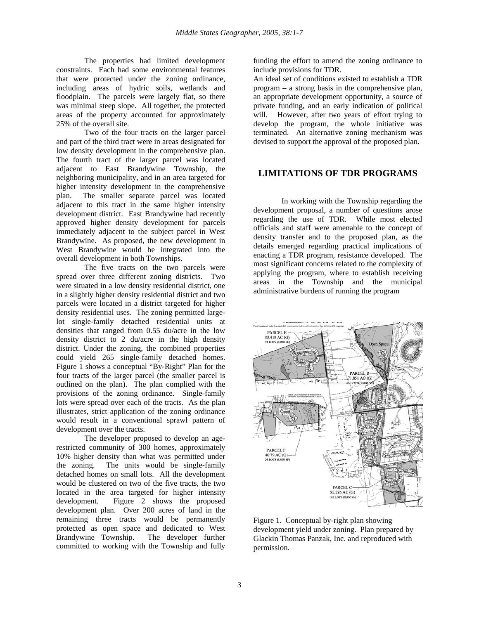The properties had limited development constraints. Each had some environmental features that were protected under the zoning ordinance, including areas of hydric soils, wetlands and floodplain. The parcels were largely flat, so there was minimal steep slope. All together, the protected areas of the property accounted for approximately 25% of the overall site.

Two of the four tracts on the larger parcel and part of the third tract were in areas designated for low density development in the comprehensive plan. The fourth tract of the larger parcel was located adjacent to East Brandywine Township, the neighboring municipality, and in an area targeted for higher intensity development in the comprehensive plan. The smaller separate parcel was located adjacent to this tract in the same higher intensity development district. East Brandywine had recently approved higher density development for parcels immediately adjacent to the subject parcel in West Brandywine. As proposed, the new development in West Brandywine would be integrated into the overall development in both Townships.

The five tracts on the two parcels were spread over three different zoning districts. Two were situated in a low density residential district, one in a slightly higher density residential district and two parcels were located in a district targeted for higher density residential uses. The zoning permitted largelot single-family detached residential units at densities that ranged from 0.55 du/acre in the low density district to 2 du/acre in the high density district. Under the zoning, the combined properties could yield 265 single-family detached homes. Figure 1 shows a conceptual "By-Right" Plan for the four tracts of the larger parcel (the smaller parcel is outlined on the plan). The plan complied with the provisions of the zoning ordinance. Single-family lots were spread over each of the tracts. As the plan illustrates, strict application of the zoning ordinance would result in a conventional sprawl pattern of development over the tracts.

The developer proposed to develop an agerestricted community of 300 homes, approximately 10% higher density than what was permitted under the zoning. The units would be single-family detached homes on small lots. All the development would be clustered on two of the five tracts, the two located in the area targeted for higher intensity development. Figure 2 shows the proposed development plan. Over 200 acres of land in the remaining three tracts would be permanently protected as open space and dedicated to West Brandywine Township. The developer further committed to working with the Township and fully

funding the effort to amend the zoning ordinance to include provisions for TDR.

An ideal set of conditions existed to establish a TDR program – a strong basis in the comprehensive plan, an appropriate development opportunity, a source of private funding, and an early indication of political will. However, after two years of effort trying to develop the program, the whole initiative was terminated. An alternative zoning mechanism was devised to support the approval of the proposed plan.

# **LIMITATIONS OF TDR PROGRAMS**

In working with the Township regarding the development proposal, a number of questions arose regarding the use of TDR. While most elected officials and staff were amenable to the concept of density transfer and to the proposed plan, as the details emerged regarding practical implications of enacting a TDR program, resistance developed. The most significant concerns related to the complexity of applying the program, where to establish receiving areas in the Township and the municipal administrative burdens of running the program



Figure 1. Conceptual by-right plan showing development yield under zoning. Plan prepared by Glackin Thomas Panzak, Inc. and reproduced with permission.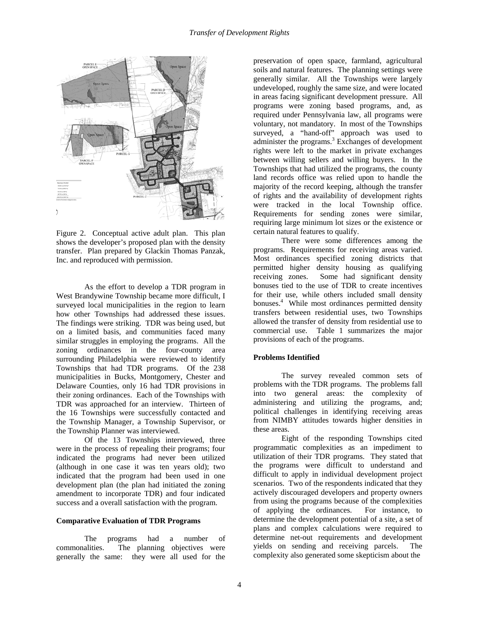

Figure 2. Conceptual active adult plan. This plan shows the developer's proposed plan with the density transfer. Plan prepared by Glackin Thomas Panzak, Inc. and reproduced with permission.

As the effort to develop a TDR program in West Brandywine Township became more difficult, I surveyed local municipalities in the region to learn how other Townships had addressed these issues. The findings were striking. TDR was being used, but on a limited basis, and communities faced many similar struggles in employing the programs. All the zoning ordinances in the four-county area surrounding Philadelphia were reviewed to identify Townships that had TDR programs. Of the 238 municipalities in Bucks, Montgomery, Chester and Delaware Counties, only 16 had TDR provisions in their zoning ordinances. Each of the Townships with TDR was approached for an interview. Thirteen of the 16 Townships were successfully contacted and the Township Manager, a Township Supervisor, or the Township Planner was interviewed.

Of the 13 Townships interviewed, three were in the process of repealing their programs; four indicated the programs had never been utilized (although in one case it was ten years old); two indicated that the program had been used in one development plan (the plan had initiated the zoning amendment to incorporate TDR) and four indicated success and a overall satisfaction with the program.

#### **Comparative Evaluation of TDR Programs**

The programs had a number of commonalities. The planning objectives were generally the same: they were all used for the

preservation of open space, farmland, agricultural soils and natural features. The planning settings were generally similar. All the Townships were largely undeveloped, roughly the same size, and were located in areas facing significant development pressure. All programs were zoning based programs, and, as required under Pennsylvania law, all programs were voluntary, not mandatory. In most of the Townships surveyed, a "hand-off" approach was used to administer the programs. $3$  Exchanges of development rights were left to the market in private exchanges between willing sellers and willing buyers. In the Townships that had utilized the programs, the county land records office was relied upon to handle the majority of the record keeping, although the transfer of rights and the availability of development rights were tracked in the local Township office. Requirements for sending zones were similar, requiring large minimum lot sizes or the existence or certain natural features to qualify.

There were some differences among the programs. Requirements for receiving areas varied. Most ordinances specified zoning districts that permitted higher density housing as qualifying receiving zones. Some had significant density bonuses tied to the use of TDR to create incentives for their use, while others included small density bonuses.4 While most ordinances permitted density transfers between residential uses, two Townships allowed the transfer of density from residential use to commercial use. Table 1 summarizes the major provisions of each of the programs.

#### **Problems Identified**

The survey revealed common sets of problems with the TDR programs. The problems fall into two general areas: the complexity of administering and utilizing the programs, and; political challenges in identifying receiving areas from NIMBY attitudes towards higher densities in these areas.

Eight of the responding Townships cited programmatic complexities as an impediment to utilization of their TDR programs. They stated that the programs were difficult to understand and difficult to apply in individual development project scenarios. Two of the respondents indicated that they actively discouraged developers and property owners from using the programs because of the complexities of applying the ordinances. For instance, to determine the development potential of a site, a set of plans and complex calculations were required to determine net-out requirements and development yields on sending and receiving parcels. The complexity also generated some skepticism about the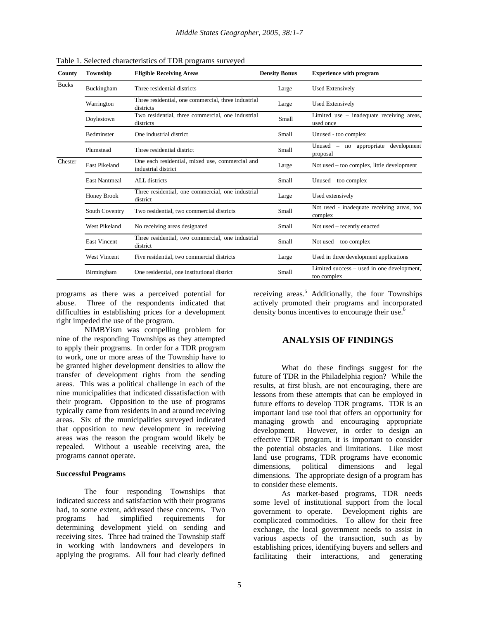| County       | Township             | <b>Eligible Receiving Areas</b>                                        | <b>Density Bonus</b> | <b>Experience with program</b>                            |
|--------------|----------------------|------------------------------------------------------------------------|----------------------|-----------------------------------------------------------|
| <b>Bucks</b> | Buckingham           | Three residential districts                                            | Large                | <b>Used Extensively</b>                                   |
|              | Warrington           | Three residential, one commercial, three industrial<br>districts       | Large                | <b>Used Extensively</b>                                   |
|              | Doylestown           | Two residential, three commercial, one industrial<br>districts         | Small                | Limited use - inadequate receiving areas,<br>used once    |
|              | <b>Bedminster</b>    | One industrial district                                                | Small                | Unused - too complex                                      |
|              | Plumstead            | Three residential district                                             | Small                | Unused – no appropriate development<br>proposal           |
| Chester      | East Pikeland        | One each residential, mixed use, commercial and<br>industrial district | Large                | Not used – too complex, little development                |
|              | <b>East Nantmeal</b> | ALL districts                                                          | Small                | $Unused - too complex$                                    |
|              | Honey Brook          | Three residential, one commercial, one industrial<br>district          | Large                | Used extensively                                          |
|              | South Coventry       | Two residential, two commercial districts                              | Small                | Not used - inadequate receiving areas, too<br>complex     |
|              | West Pikeland        | No receiving areas designated                                          | Small                | Not used – recently enacted                               |
|              | <b>East Vincent</b>  | Three residential, two commercial, one industrial<br>district          | Small                | Not used $-$ too complex                                  |
|              | <b>West Vincent</b>  | Five residential, two commercial districts                             | Large                | Used in three development applications                    |
|              | Birmingham           | One residential, one institutional district                            | Small                | Limited success – used in one development,<br>too complex |

Table 1. Selected characteristics of TDR programs surveyed

programs as there was a perceived potential for abuse. Three of the respondents indicated that difficulties in establishing prices for a development right impeded the use of the program.

NIMBYism was compelling problem for nine of the responding Townships as they attempted to apply their programs. In order for a TDR program to work, one or more areas of the Township have to be granted higher development densities to allow the transfer of development rights from the sending areas. This was a political challenge in each of the nine municipalities that indicated dissatisfaction with their program. Opposition to the use of programs typically came from residents in and around receiving areas. Six of the municipalities surveyed indicated that opposition to new development in receiving areas was the reason the program would likely be repealed. Without a useable receiving area, the programs cannot operate.

#### **Successful Programs**

The four responding Townships that indicated success and satisfaction with their programs had, to some extent, addressed these concerns. Two programs had simplified requirements for determining development yield on sending and receiving sites. Three had trained the Township staff in working with landowners and developers in applying the programs. All four had clearly defined

receiving areas.<sup>5</sup> Additionally, the four Townships actively promoted their programs and incorporated density bonus incentives to encourage their use.<sup>6</sup>

# **ANALYSIS OF FINDINGS**

What do these findings suggest for the future of TDR in the Philadelphia region? While the results, at first blush, are not encouraging, there are lessons from these attempts that can be employed in future efforts to develop TDR programs. TDR is an important land use tool that offers an opportunity for managing growth and encouraging appropriate development. However, in order to design an effective TDR program, it is important to consider the potential obstacles and limitations. Like most land use programs, TDR programs have economic dimensions, political dimensions and legal dimensions. The appropriate design of a program has to consider these elements.

As market-based programs, TDR needs some level of institutional support from the local government to operate. Development rights are complicated commodities. To allow for their free exchange, the local government needs to assist in various aspects of the transaction, such as by establishing prices, identifying buyers and sellers and facilitating their interactions, and generating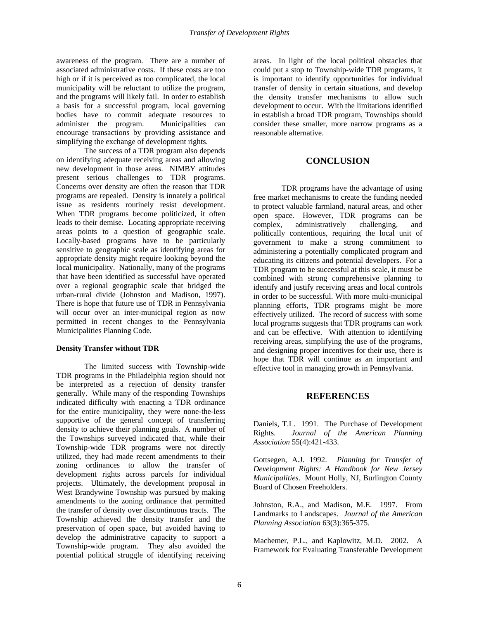awareness of the program. There are a number of associated administrative costs. If these costs are too high or if it is perceived as too complicated, the local municipality will be reluctant to utilize the program, and the programs will likely fail. In order to establish a basis for a successful program, local governing bodies have to commit adequate resources to administer the program. Municipalities can encourage transactions by providing assistance and simplifying the exchange of development rights.

The success of a TDR program also depends on identifying adequate receiving areas and allowing new development in those areas. NIMBY attitudes present serious challenges to TDR programs. Concerns over density are often the reason that TDR programs are repealed. Density is innately a political issue as residents routinely resist development. When TDR programs become politicized, it often leads to their demise. Locating appropriate receiving areas points to a question of geographic scale. Locally-based programs have to be particularly sensitive to geographic scale as identifying areas for appropriate density might require looking beyond the local municipality. Nationally, many of the programs that have been identified as successful have operated over a regional geographic scale that bridged the urban-rural divide (Johnston and Madison, 1997). There is hope that future use of TDR in Pennsylvania will occur over an inter-municipal region as now permitted in recent changes to the Pennsylvania Municipalities Planning Code.

#### **Density Transfer without TDR**

The limited success with Township-wide TDR programs in the Philadelphia region should not be interpreted as a rejection of density transfer generally. While many of the responding Townships indicated difficulty with enacting a TDR ordinance for the entire municipality, they were none-the-less supportive of the general concept of transferring density to achieve their planning goals. A number of the Townships surveyed indicated that, while their Township-wide TDR programs were not directly utilized, they had made recent amendments to their zoning ordinances to allow the transfer of development rights across parcels for individual projects. Ultimately, the development proposal in West Brandywine Township was pursued by making amendments to the zoning ordinance that permitted the transfer of density over discontinuous tracts. The Township achieved the density transfer and the preservation of open space, but avoided having to develop the administrative capacity to support a Township-wide program. They also avoided the potential political struggle of identifying receiving

areas. In light of the local political obstacles that could put a stop to Township-wide TDR programs, it is important to identify opportunities for individual transfer of density in certain situations, and develop the density transfer mechanisms to allow such development to occur. With the limitations identified in establish a broad TDR program, Townships should consider these smaller, more narrow programs as a reasonable alternative.

# **CONCLUSION**

TDR programs have the advantage of using free market mechanisms to create the funding needed to protect valuable farmland, natural areas, and other open space. However, TDR programs can be complex, administratively challenging, and politically contentious, requiring the local unit of government to make a strong commitment to administering a potentially complicated program and educating its citizens and potential developers. For a TDR program to be successful at this scale, it must be combined with strong comprehensive planning to identify and justify receiving areas and local controls in order to be successful. With more multi-municipal planning efforts, TDR programs might be more effectively utilized. The record of success with some local programs suggests that TDR programs can work and can be effective. With attention to identifying receiving areas, simplifying the use of the programs, and designing proper incentives for their use, there is hope that TDR will continue as an important and effective tool in managing growth in Pennsylvania.

#### **REFERENCES**

Daniels, T.L. 1991. The Purchase of Development Rights. *Journal of the American Planning Association* 55(4):421-433.

Gottsegen, A.J. 1992. *Planning for Transfer of Development Rights: A Handbook for New Jersey Municipalities*. Mount Holly, NJ, Burlington County Board of Chosen Freeholders.

Johnston, R.A., and Madison, M.E. 1997. From Landmarks to Landscapes. *Journal of the American Planning Association* 63(3):365-375.

Machemer, P.L., and Kaplowitz, M.D. 2002. A Framework for Evaluating Transferable Development